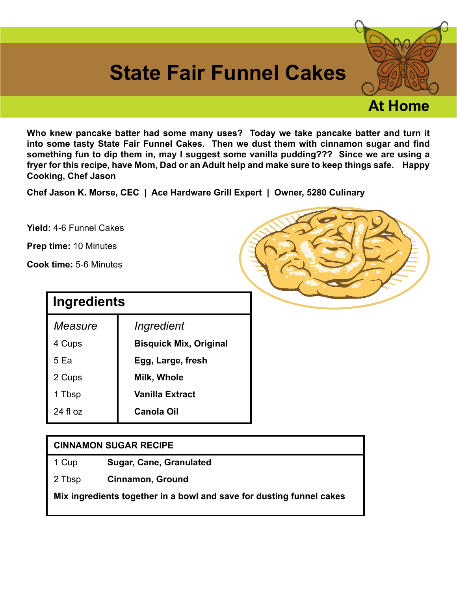## **State Fair Funnel Cakes**

**Who knew pancake batter had some many uses? Today we take pancake batter and turn it into some tasty State Fair Funnel Cakes. Then we dust them with cinnamon sugar and find something fun to dip them in, may I suggest some vanilla pudding??? Since we are using a fryer for this recipe, have Mom, Dad or an Adult help and make sure to keep things safe. Happy Cooking, Chef Jason**

**Chef Jason K. Morse, CEC | Ace Hardware Grill Expert | Owner, 5280 Culinary**

**Yield:** 4-6 Funnel Cakes

**Prep time:** 10 Minutes

**Cook time:** 5-6 Minutes

| Ingredients |                               |
|-------------|-------------------------------|
| Measure     | Ingredient                    |
| 4 Cups      | <b>Bisquick Mix, Original</b> |
| 5 Ea        | Egg, Large, fresh             |
| 2 Cups      | Milk, Whole                   |
| 1 Tbsp      | Vanilla Extract               |
| $24$ fl oz  | Canola Oil                    |

## **CINNAMON SUGAR RECIPE**

- 1 Cup **Sugar, Cane, Granulated**
- 2 Tbsp **Cinnamon, Ground**

**Mix ingredients together in a bowl and save for dusting funnel cakes**



**At Home**